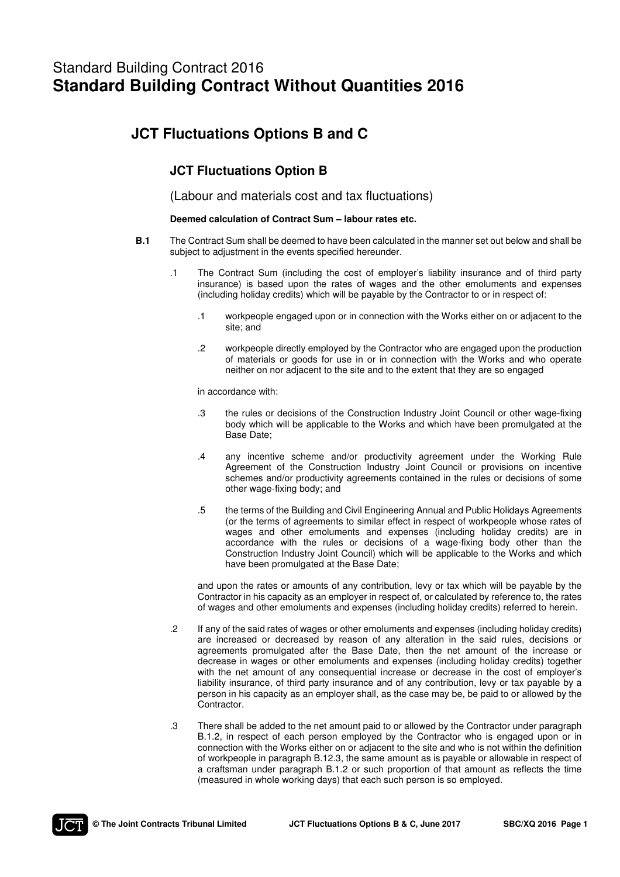# Standard Building Contract 2016 **Standard Building Contract Without Quantities 2016**

# **JCT Fluctuations Options B and C**

# **JCT Fluctuations Option B**

(Labour and materials cost and tax fluctuations)

## **Deemed calculation of Contract Sum – labour rates etc.**

- **B.1** The Contract Sum shall be deemed to have been calculated in the manner set out below and shall be subject to adjustment in the events specified hereunder.
	- .1 The Contract Sum (including the cost of employer's liability insurance and of third party insurance) is based upon the rates of wages and the other emoluments and expenses (including holiday credits) which will be payable by the Contractor to or in respect of:
		- .1 workpeople engaged upon or in connection with the Works either on or adjacent to the site; and
		- .2 workpeople directly employed by the Contractor who are engaged upon the production of materials or goods for use in or in connection with the Works and who operate neither on nor adjacent to the site and to the extent that they are so engaged

in accordance with:

- .3 the rules or decisions of the Construction Industry Joint Council or other wage-fixing body which will be applicable to the Works and which have been promulgated at the Base Date;
- .4 any incentive scheme and/or productivity agreement under the Working Rule Agreement of the Construction Industry Joint Council or provisions on incentive schemes and/or productivity agreements contained in the rules or decisions of some other wage-fixing body; and
- .5 the terms of the Building and Civil Engineering Annual and Public Holidays Agreements (or the terms of agreements to similar effect in respect of workpeople whose rates of wages and other emoluments and expenses (including holiday credits) are in accordance with the rules or decisions of a wage-fixing body other than the Construction Industry Joint Council) which will be applicable to the Works and which have been promulgated at the Base Date;

 and upon the rates or amounts of any contribution, levy or tax which will be payable by the Contractor in his capacity as an employer in respect of, or calculated by reference to, the rates of wages and other emoluments and expenses (including holiday credits) referred to herein.

- .2 If any of the said rates of wages or other emoluments and expenses (including holiday credits) are increased or decreased by reason of any alteration in the said rules, decisions or agreements promulgated after the Base Date, then the net amount of the increase or decrease in wages or other emoluments and expenses (including holiday credits) together with the net amount of any consequential increase or decrease in the cost of employer's liability insurance, of third party insurance and of any contribution, levy or tax payable by a person in his capacity as an employer shall, as the case may be, be paid to or allowed by the Contractor.
- .3 There shall be added to the net amount paid to or allowed by the Contractor under paragraph B.1.2, in respect of each person employed by the Contractor who is engaged upon or in connection with the Works either on or adjacent to the site and who is not within the definition of workpeople in paragraph B.12.3, the same amount as is payable or allowable in respect of a craftsman under paragraph B.1.2 or such proportion of that amount as reflects the time (measured in whole working days) that each such person is so employed.

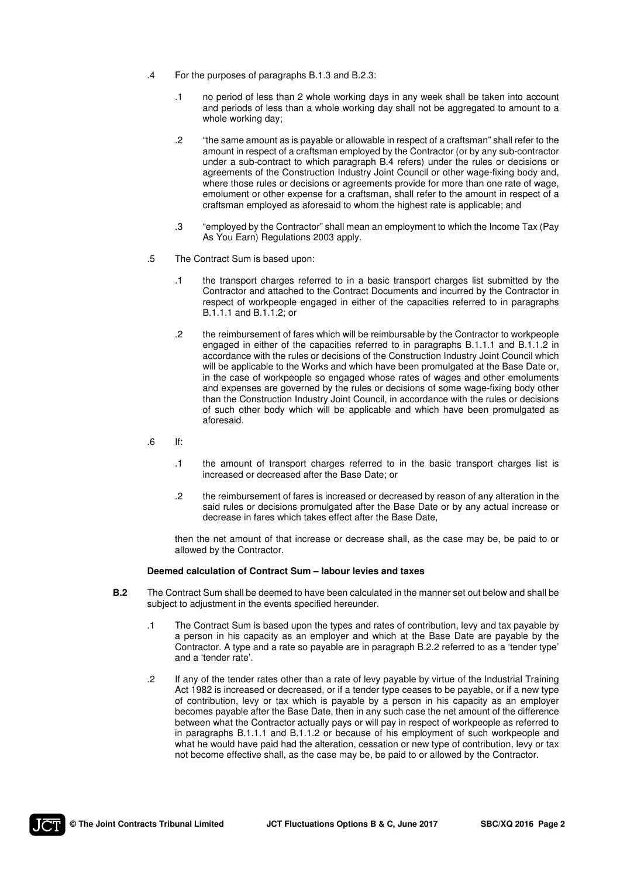- .4 For the purposes of paragraphs B.1.3 and B.2.3:
	- .1 no period of less than 2 whole working days in any week shall be taken into account and periods of less than a whole working day shall not be aggregated to amount to a whole working day;
	- .2 "the same amount as is payable or allowable in respect of a craftsman" shall refer to the amount in respect of a craftsman employed by the Contractor (or by any sub-contractor under a sub-contract to which paragraph B.4 refers) under the rules or decisions or agreements of the Construction Industry Joint Council or other wage-fixing body and, where those rules or decisions or agreements provide for more than one rate of wage, emolument or other expense for a craftsman, shall refer to the amount in respect of a craftsman employed as aforesaid to whom the highest rate is applicable; and
	- .3 "employed by the Contractor" shall mean an employment to which the Income Tax (Pay As You Earn) Regulations 2003 apply.
- .5 The Contract Sum is based upon:
	- .1 the transport charges referred to in a basic transport charges list submitted by the Contractor and attached to the Contract Documents and incurred by the Contractor in respect of workpeople engaged in either of the capacities referred to in paragraphs B.1.1.1 and B.1.1.2; or
	- .2 the reimbursement of fares which will be reimbursable by the Contractor to workpeople engaged in either of the capacities referred to in paragraphs B.1.1.1 and B.1.1.2 in accordance with the rules or decisions of the Construction Industry Joint Council which will be applicable to the Works and which have been promulgated at the Base Date or, in the case of workpeople so engaged whose rates of wages and other emoluments and expenses are governed by the rules or decisions of some wage-fixing body other than the Construction Industry Joint Council, in accordance with the rules or decisions of such other body which will be applicable and which have been promulgated as aforesaid.
- $\blacksquare$ .6 If:
	- .1 the amount of transport charges referred to in the basic transport charges list is increased or decreased after the Base Date; or
	- .2 the reimbursement of fares is increased or decreased by reason of any alteration in the said rules or decisions promulgated after the Base Date or by any actual increase or decrease in fares which takes effect after the Base Date,

 then the net amount of that increase or decrease shall, as the case may be, be paid to or allowed by the Contractor.

#### **Deemed calculation of Contract Sum – labour levies and taxes**

- **B.2** The Contract Sum shall be deemed to have been calculated in the manner set out below and shall be subject to adjustment in the events specified hereunder.
	- .1 The Contract Sum is based upon the types and rates of contribution, levy and tax payable by a person in his capacity as an employer and which at the Base Date are payable by the Contractor. A type and a rate so payable are in paragraph B.2.2 referred to as a 'tender type' and a 'tender rate'.
	- .2 If any of the tender rates other than a rate of levy payable by virtue of the Industrial Training Act 1982 is increased or decreased, or if a tender type ceases to be payable, or if a new type of contribution, levy or tax which is payable by a person in his capacity as an employer becomes payable after the Base Date, then in any such case the net amount of the difference between what the Contractor actually pays or will pay in respect of workpeople as referred to in paragraphs B.1.1.1 and B.1.1.2 or because of his employment of such workpeople and what he would have paid had the alteration, cessation or new type of contribution, levy or tax not become effective shall, as the case may be, be paid to or allowed by the Contractor.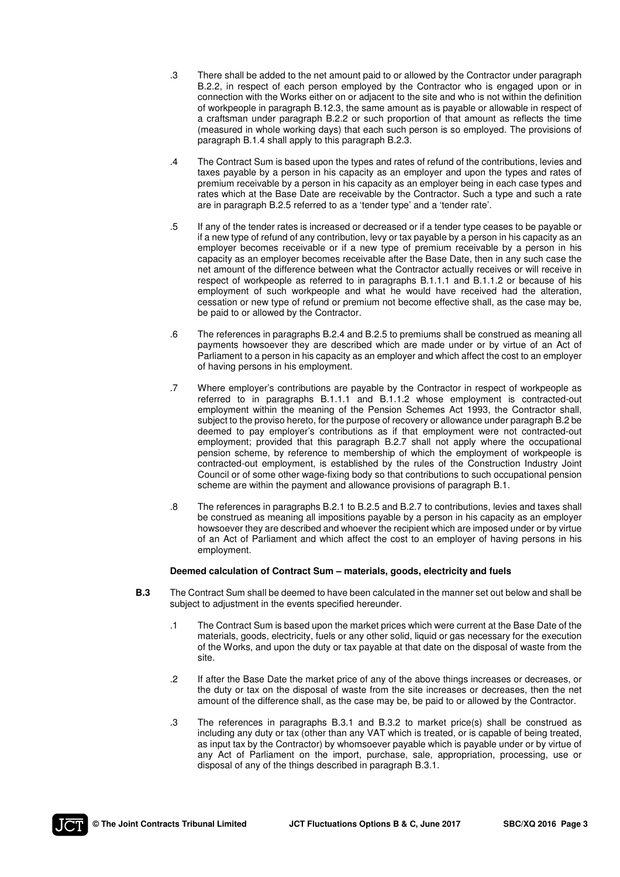- .3 There shall be added to the net amount paid to or allowed by the Contractor under paragraph B.2.2, in respect of each person employed by the Contractor who is engaged upon or in connection with the Works either on or adjacent to the site and who is not within the definition of workpeople in paragraph B.12.3, the same amount as is payable or allowable in respect of a craftsman under paragraph B.2.2 or such proportion of that amount as reflects the time (measured in whole working days) that each such person is so employed. The provisions of paragraph B.1.4 shall apply to this paragraph B.2.3.
- .4 The Contract Sum is based upon the types and rates of refund of the contributions, levies and taxes payable by a person in his capacity as an employer and upon the types and rates of premium receivable by a person in his capacity as an employer being in each case types and rates which at the Base Date are receivable by the Contractor. Such a type and such a rate are in paragraph B.2.5 referred to as a 'tender type' and a 'tender rate'.
- .5 If any of the tender rates is increased or decreased or if a tender type ceases to be payable or if a new type of refund of any contribution, levy or tax payable by a person in his capacity as an employer becomes receivable or if a new type of premium receivable by a person in his capacity as an employer becomes receivable after the Base Date, then in any such case the net amount of the difference between what the Contractor actually receives or will receive in respect of workpeople as referred to in paragraphs B.1.1.1 and B.1.1.2 or because of his employment of such workpeople and what he would have received had the alteration, cessation or new type of refund or premium not become effective shall, as the case may be, be paid to or allowed by the Contractor.
- .6 The references in paragraphs B.2.4 and B.2.5 to premiums shall be construed as meaning all payments howsoever they are described which are made under or by virtue of an Act of Parliament to a person in his capacity as an employer and which affect the cost to an employer of having persons in his employment.
- .7 Where employer's contributions are payable by the Contractor in respect of workpeople as referred to in paragraphs B.1.1.1 and B.1.1.2 whose employment is contracted-out employment within the meaning of the Pension Schemes Act 1993, the Contractor shall, subject to the proviso hereto, for the purpose of recovery or allowance under paragraph B.2 be deemed to pay employer's contributions as if that employment were not contracted-out employment; provided that this paragraph B.2.7 shall not apply where the occupational pension scheme, by reference to membership of which the employment of workpeople is contracted-out employment, is established by the rules of the Construction Industry Joint Council or of some other wage-fixing body so that contributions to such occupational pension scheme are within the payment and allowance provisions of paragraph B.1.
- .8 The references in paragraphs B.2.1 to B.2.5 and B.2.7 to contributions, levies and taxes shall be construed as meaning all impositions payable by a person in his capacity as an employer howsoever they are described and whoever the recipient which are imposed under or by virtue of an Act of Parliament and which affect the cost to an employer of having persons in his employment.

## **Deemed calculation of Contract Sum – materials, goods, electricity and fuels**

- **B.3** The Contract Sum shall be deemed to have been calculated in the manner set out below and shall be subject to adjustment in the events specified hereunder.
	- .1 The Contract Sum is based upon the market prices which were current at the Base Date of the materials, goods, electricity, fuels or any other solid, liquid or gas necessary for the execution of the Works, and upon the duty or tax payable at that date on the disposal of waste from the site.
	- .2 If after the Base Date the market price of any of the above things increases or decreases, or the duty or tax on the disposal of waste from the site increases or decreases, then the net amount of the difference shall, as the case may be, be paid to or allowed by the Contractor.
	- .3 The references in paragraphs B.3.1 and B.3.2 to market price(s) shall be construed as including any duty or tax (other than any VAT which is treated, or is capable of being treated, as input tax by the Contractor) by whomsoever payable which is payable under or by virtue of any Act of Parliament on the import, purchase, sale, appropriation, processing, use or disposal of any of the things described in paragraph B.3.1.

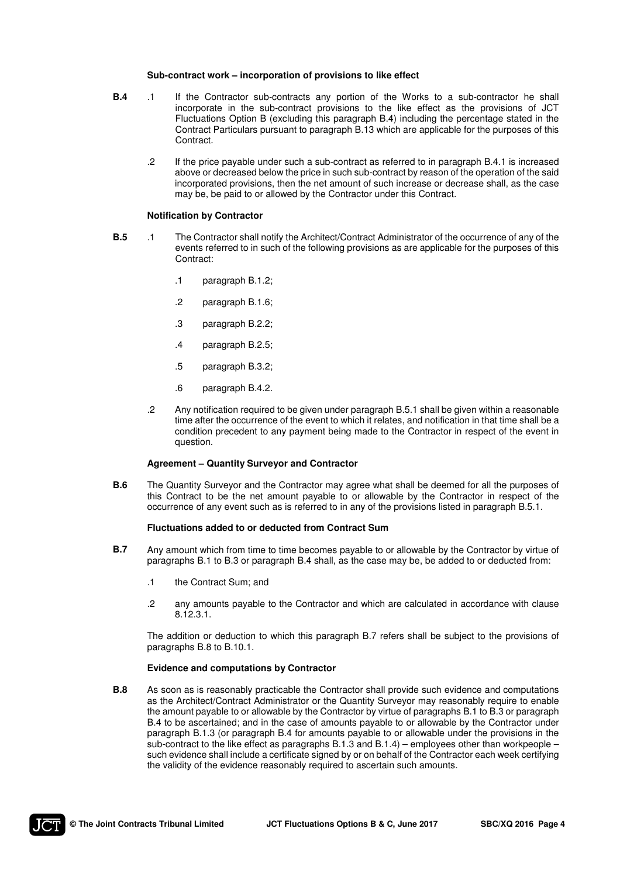#### **Sub-contract work – incorporation of provisions to like effect**

- **B.4** .1 If the Contractor sub-contracts any portion of the Works to a sub-contractor he shall incorporate in the sub-contract provisions to the like effect as the provisions of JCT Fluctuations Option B (excluding this paragraph B.4) including the percentage stated in the Contract Particulars pursuant to paragraph B.13 which are applicable for the purposes of this **Contract** 
	- .2 If the price payable under such a sub-contract as referred to in paragraph B.4.1 is increased above or decreased below the price in such sub-contract by reason of the operation of the said incorporated provisions, then the net amount of such increase or decrease shall, as the case may be, be paid to or allowed by the Contractor under this Contract.

#### **Notification by Contractor**

- **B.5** .1 The Contractor shall notify the Architect/Contract Administrator of the occurrence of any of the events referred to in such of the following provisions as are applicable for the purposes of this Contract:
	- .1 paragraph B.1.2;
	- .2 paragraph B.1.6;
	- .3 paragraph B.2.2;
	- .4 paragraph B.2.5;
	- .5 paragraph B.3.2;
	- .6 paragraph B.4.2.
	- .2 Any notification required to be given under paragraph B.5.1 shall be given within a reasonable time after the occurrence of the event to which it relates, and notification in that time shall be a condition precedent to any payment being made to the Contractor in respect of the event in question.

#### **Agreement – Quantity Surveyor and Contractor**

**B.6** The Quantity Surveyor and the Contractor may agree what shall be deemed for all the purposes of this Contract to be the net amount payable to or allowable by the Contractor in respect of the occurrence of any event such as is referred to in any of the provisions listed in paragraph B.5.1.

#### **Fluctuations added to or deducted from Contract Sum**

- **B.7** Any amount which from time to time becomes payable to or allowable by the Contractor by virtue of paragraphs B.1 to B.3 or paragraph B.4 shall, as the case may be, be added to or deducted from:
	- .1 the Contract Sum; and
	- .2 any amounts payable to the Contractor and which are calculated in accordance with clause 8.12.3.1.

 The addition or deduction to which this paragraph B.7 refers shall be subject to the provisions of paragraphs B.8 to B.10.1.

#### **Evidence and computations by Contractor**

**B.8** As soon as is reasonably practicable the Contractor shall provide such evidence and computations as the Architect/Contract Administrator or the Quantity Surveyor may reasonably require to enable the amount payable to or allowable by the Contractor by virtue of paragraphs B.1 to B.3 or paragraph B.4 to be ascertained; and in the case of amounts payable to or allowable by the Contractor under paragraph B.1.3 (or paragraph B.4 for amounts payable to or allowable under the provisions in the sub-contract to the like effect as paragraphs B.1.3 and B.1.4) – employees other than workpeople – such evidence shall include a certificate signed by or on behalf of the Contractor each week certifying the validity of the evidence reasonably required to ascertain such amounts.

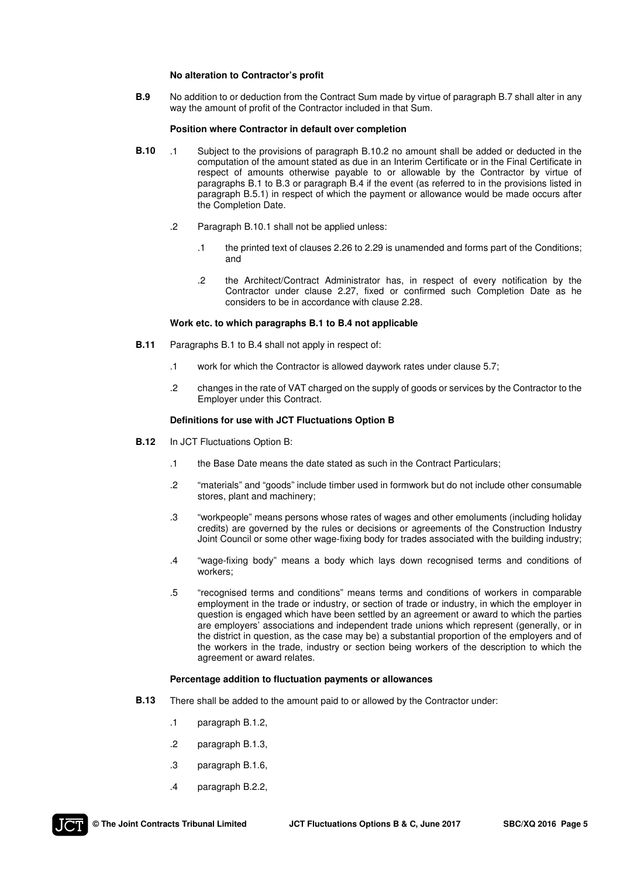#### **No alteration to Contractor's profit**

**B.9** No addition to or deduction from the Contract Sum made by virtue of paragraph B.7 shall alter in any way the amount of profit of the Contractor included in that Sum.

#### **Position where Contractor in default over completion**

- **B.10** .1 Subject to the provisions of paragraph B.10.2 no amount shall be added or deducted in the computation of the amount stated as due in an Interim Certificate or in the Final Certificate in respect of amounts otherwise payable to or allowable by the Contractor by virtue of paragraphs B.1 to B.3 or paragraph B.4 if the event (as referred to in the provisions listed in paragraph B.5.1) in respect of which the payment or allowance would be made occurs after the Completion Date.
	- .2 Paragraph B.10.1 shall not be applied unless:
		- .1 the printed text of clauses 2.26 to 2.29 is unamended and forms part of the Conditions; and
		- .2 the Architect/Contract Administrator has, in respect of every notification by the Contractor under clause 2.27, fixed or confirmed such Completion Date as he considers to be in accordance with clause 2.28.

#### **Work etc. to which paragraphs B.1 to B.4 not applicable**

- **B.11** Paragraphs B.1 to B.4 shall not apply in respect of:
	- .1 work for which the Contractor is allowed daywork rates under clause 5.7;
	- .2 changes in the rate of VAT charged on the supply of goods or services by the Contractor to the Employer under this Contract.

#### **Definitions for use with JCT Fluctuations Option B**

- **B.12** In JCT Fluctuations Option B:
	- .1 the Base Date means the date stated as such in the Contract Particulars;
	- .2 "materials" and "goods" include timber used in formwork but do not include other consumable stores, plant and machinery;
	- .3 "workpeople" means persons whose rates of wages and other emoluments (including holiday credits) are governed by the rules or decisions or agreements of the Construction Industry Joint Council or some other wage-fixing body for trades associated with the building industry;
	- .4 "wage-fixing body" means a body which lays down recognised terms and conditions of workers;
	- .5 "recognised terms and conditions" means terms and conditions of workers in comparable employment in the trade or industry, or section of trade or industry, in which the employer in question is engaged which have been settled by an agreement or award to which the parties are employers' associations and independent trade unions which represent (generally, or in the district in question, as the case may be) a substantial proportion of the employers and of the workers in the trade, industry or section being workers of the description to which the agreement or award relates.

#### **Percentage addition to fluctuation payments or allowances**

- **B.13** There shall be added to the amount paid to or allowed by the Contractor under:
	- .1 paragraph B.1.2,
	- .2 paragraph B.1.3,
	- .3 paragraph B.1.6,
	- .4 paragraph B.2.2,

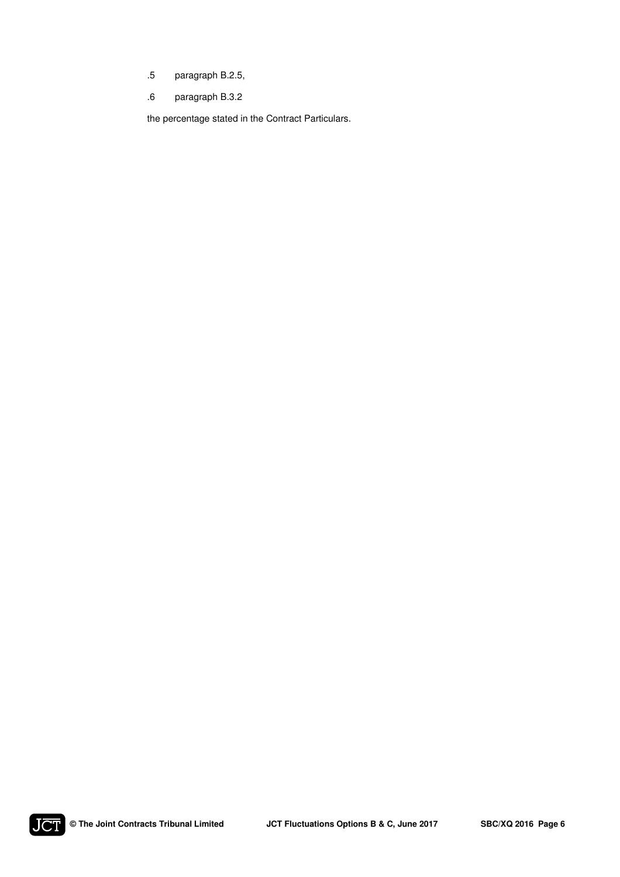- .5 paragraph B.2.5,
- .6 paragraph B.3.2

the percentage stated in the Contract Particulars.

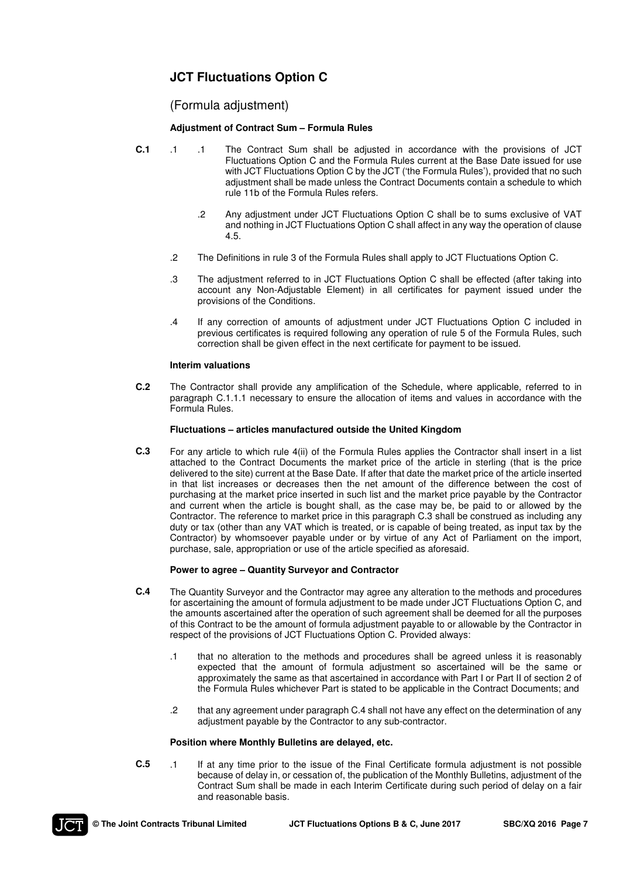# **JCT Fluctuations Option C**

# (Formula adjustment)

## **Adjustment of Contract Sum – Formula Rules**

- **C.1** .1 .1 The Contract Sum shall be adjusted in accordance with the provisions of JCT Fluctuations Option C and the Formula Rules current at the Base Date issued for use with JCT Fluctuations Option C by the JCT ('the Formula Rules'), provided that no such adjustment shall be made unless the Contract Documents contain a schedule to which rule 11b of the Formula Rules refers.
	- .2 Any adjustment under JCT Fluctuations Option C shall be to sums exclusive of VAT and nothing in JCT Fluctuations Option C shall affect in any way the operation of clause 4.5.
	- .2 The Definitions in rule 3 of the Formula Rules shall apply to JCT Fluctuations Option C.
	- .3 The adjustment referred to in JCT Fluctuations Option C shall be effected (after taking into account any Non-Adjustable Element) in all certificates for payment issued under the provisions of the Conditions.
	- .4 If any correction of amounts of adjustment under JCT Fluctuations Option C included in previous certificates is required following any operation of rule 5 of the Formula Rules, such correction shall be given effect in the next certificate for payment to be issued.

### **Interim valuations**

**C.2** The Contractor shall provide any amplification of the Schedule, where applicable, referred to in paragraph C.1.1.1 necessary to ensure the allocation of items and values in accordance with the Formula Rules.

### **Fluctuations – articles manufactured outside the United Kingdom**

**C.3** For any article to which rule 4(ii) of the Formula Rules applies the Contractor shall insert in a list attached to the Contract Documents the market price of the article in sterling (that is the price delivered to the site) current at the Base Date. If after that date the market price of the article inserted in that list increases or decreases then the net amount of the difference between the cost of purchasing at the market price inserted in such list and the market price payable by the Contractor and current when the article is bought shall, as the case may be, be paid to or allowed by the Contractor. The reference to market price in this paragraph C.3 shall be construed as including any duty or tax (other than any VAT which is treated, or is capable of being treated, as input tax by the Contractor) by whomsoever payable under or by virtue of any Act of Parliament on the import, purchase, sale, appropriation or use of the article specified as aforesaid.

#### **Power to agree – Quantity Surveyor and Contractor**

- **C.4** The Quantity Surveyor and the Contractor may agree any alteration to the methods and procedures for ascertaining the amount of formula adjustment to be made under JCT Fluctuations Option C, and the amounts ascertained after the operation of such agreement shall be deemed for all the purposes of this Contract to be the amount of formula adjustment payable to or allowable by the Contractor in respect of the provisions of JCT Fluctuations Option C. Provided always:
	- .1 that no alteration to the methods and procedures shall be agreed unless it is reasonably expected that the amount of formula adjustment so ascertained will be the same or approximately the same as that ascertained in accordance with Part I or Part II of section 2 of the Formula Rules whichever Part is stated to be applicable in the Contract Documents; and
	- .2 that any agreement under paragraph C.4 shall not have any effect on the determination of any adjustment payable by the Contractor to any sub-contractor.

#### **Position where Monthly Bulletins are delayed, etc.**

**C.5** .1 If at any time prior to the issue of the Final Certificate formula adjustment is not possible because of delay in, or cessation of, the publication of the Monthly Bulletins, adjustment of the Contract Sum shall be made in each Interim Certificate during such period of delay on a fair and reasonable basis.